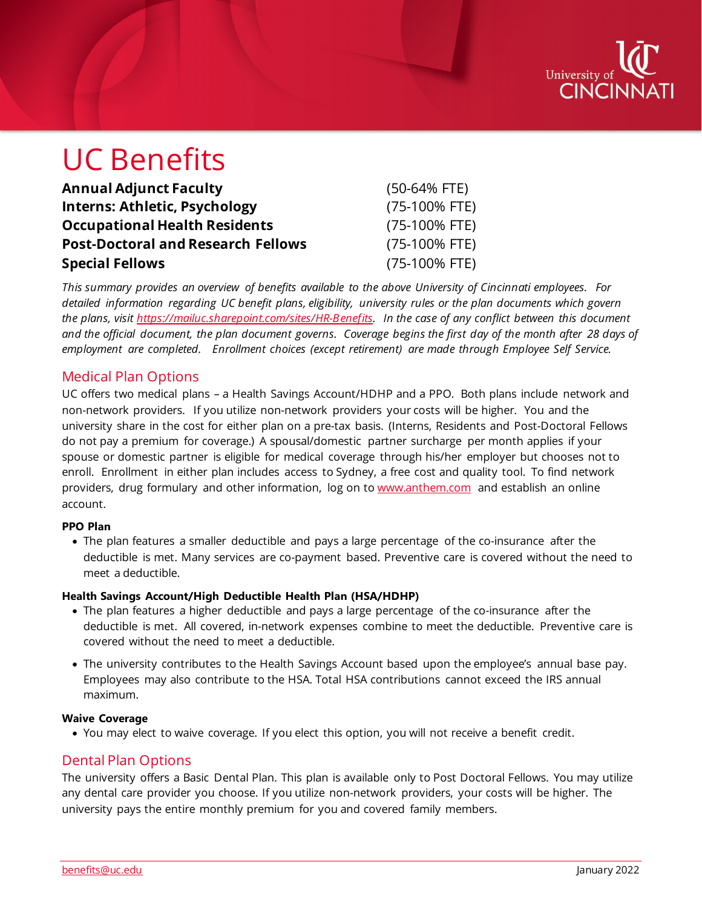

# UC Benefits

| <b>Annual Adjunct Faculty</b>             | $(50-64% FTE)$ |
|-------------------------------------------|----------------|
| <b>Interns: Athletic, Psychology</b>      | (75-100% FTE)  |
| <b>Occupational Health Residents</b>      | (75-100% FTE)  |
| <b>Post-Doctoral and Research Fellows</b> | (75-100% FTE)  |
| <b>Special Fellows</b>                    | (75-100% FTE)  |

*This summary provides an overview of benefits available to the above University of Cincinnati employees. For detailed information regarding UC benefit plans, eligibility, university rules or the plan documents which govern the plans, visit [https://mailuc.sharepoint.com/sites/HR-Benefits.](https://mailuc.sharepoint.com/sites/HR-Benefits) In the case of any conflict between this document and the official document, the plan document governs. Coverage begins the first day of the month after 28 days of employment are completed. Enrollment choices (except retirement) are made through Employee Self Service.*

# Medical Plan Options

UC offers two medical plans – a Health Savings Account/HDHP and a PPO. Both plans include network and non-network providers. If you utilize non-network providers your costs will be higher. You and the university share in the cost for either plan on a pre-tax basis. (Interns, Residents and Post-Doctoral Fellows do not pay a premium for coverage.) A spousal/domestic partner surcharge per month applies if your spouse or domestic partner is eligible for medical coverage through his/her employer but chooses not to enroll. Enrollment in either plan includes access to Sydney, a free cost and quality tool. To find network providers, drug formulary and other information, log on to [www.anthem.com](http://www.anthem.com/) and establish an online account.

#### **PPO Plan**

• The plan features a smaller deductible and pays a large percentage of the co-insurance after the deductible is met. Many services are co-payment based. Preventive care is covered without the need to meet a deductible.

#### **Health Savings Account/High Deductible Health Plan (HSA/HDHP)**

- The plan features a higher deductible and pays a large percentage of the co-insurance after the deductible is met. All covered, in-network expenses combine to meet the deductible. Preventive care is covered without the need to meet a deductible.
- The university contributes to the Health Savings Account based upon the employee's annual base pay. Employees may also contribute to the HSA. Total HSA contributions cannot exceed the IRS annual maximum.

#### **Waive Coverage**

• You may elect to waive coverage. If you elect this option, you will not receive a benefit credit.

### Dental Plan Options

The university offers a Basic Dental Plan. This plan is available only to Post Doctoral Fellows. You may utilize any dental care provider you choose. If you utilize non-network providers, your costs will be higher. The university pays the entire monthly premium for you and covered family members.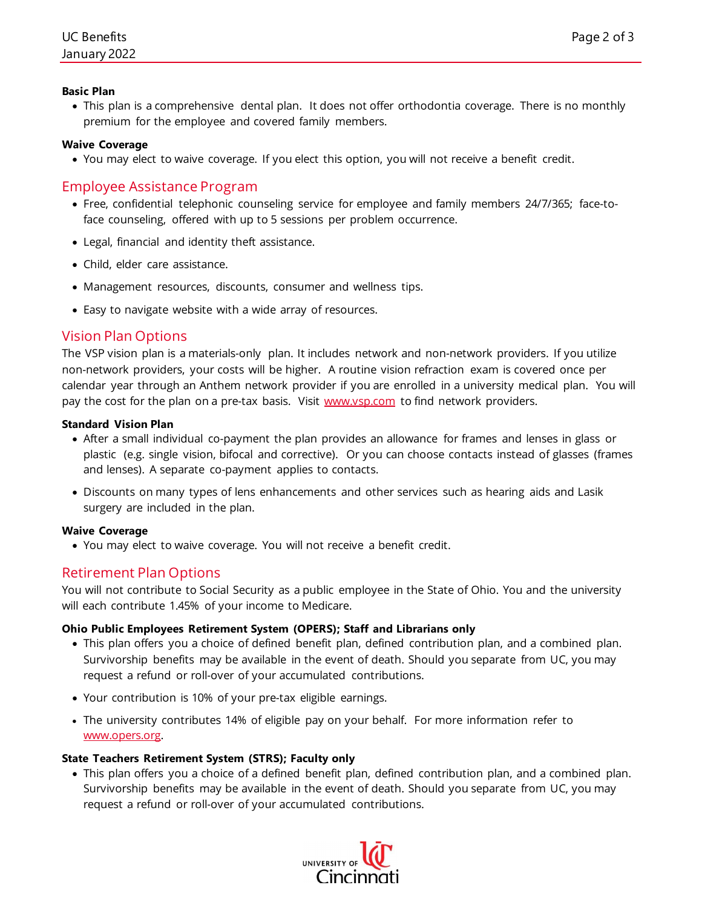#### **Basic Plan**

• This plan is a comprehensive dental plan. It does not offer orthodontia coverage. There is no monthly premium for the employee and covered family members.

#### **Waive Coverage**

• You may elect to waive coverage. If you elect this option, you will not receive a benefit credit.

# Employee Assistance Program

- Free, confidential telephonic counseling service for employee and family members 24/7/365; face-toface counseling, offered with up to 5 sessions per problem occurrence.
- Legal, financial and identity theft assistance.
- Child, elder care assistance.
- Management resources, discounts, consumer and wellness tips.
- Easy to navigate website with a wide array of resources.

# Vision Plan Options

The VSP vision plan is a materials-only plan. It includes network and non-network providers. If you utilize non-network providers, your costs will be higher. A routine vision refraction exam is covered once per calendar year through an Anthem network provider if you are enrolled in a university medical plan. You will pay the cost for the plan on a pre-tax basis. Visit [www.vsp.com](http://www.vsp.com/) to find network providers.

#### **Standard Vision Plan**

- After a small individual co-payment the plan provides an allowance for frames and lenses in glass or plastic (e.g. single vision, bifocal and corrective). Or you can choose contacts instead of glasses (frames and lenses). A separate co-payment applies to contacts.
- Discounts on many types of lens enhancements and other services such as hearing aids and Lasik surgery are included in the plan.

#### **Waive Coverage**

• You may elect to waive coverage. You will not receive a benefit credit.

# Retirement Plan Options

You will not contribute to Social Security as a public employee in the State of Ohio. You and the university will each contribute 1.45% of your income to Medicare.

#### **Ohio Public Employees Retirement System (OPERS); Staff and Librarians only**

- This plan offers you a choice of defined benefit plan, defined contribution plan, and a combined plan. Survivorship benefits may be available in the event of death. Should you separate from UC, you may request a refund or roll-over of your accumulated contributions.
- Your contribution is 10% of your pre-tax eligible earnings.
- The university contributes 14% of eligible pay on your behalf. For more information refer to [www.opers.org.](http://www.opers.org/)

#### **State Teachers Retirement System (STRS); Faculty only**

• This plan offers you a choice of a defined benefit plan, defined contribution plan, and a combined plan. Survivorship benefits may be available in the event of death. Should you separate from UC, you may request a refund or roll-over of your accumulated contributions.